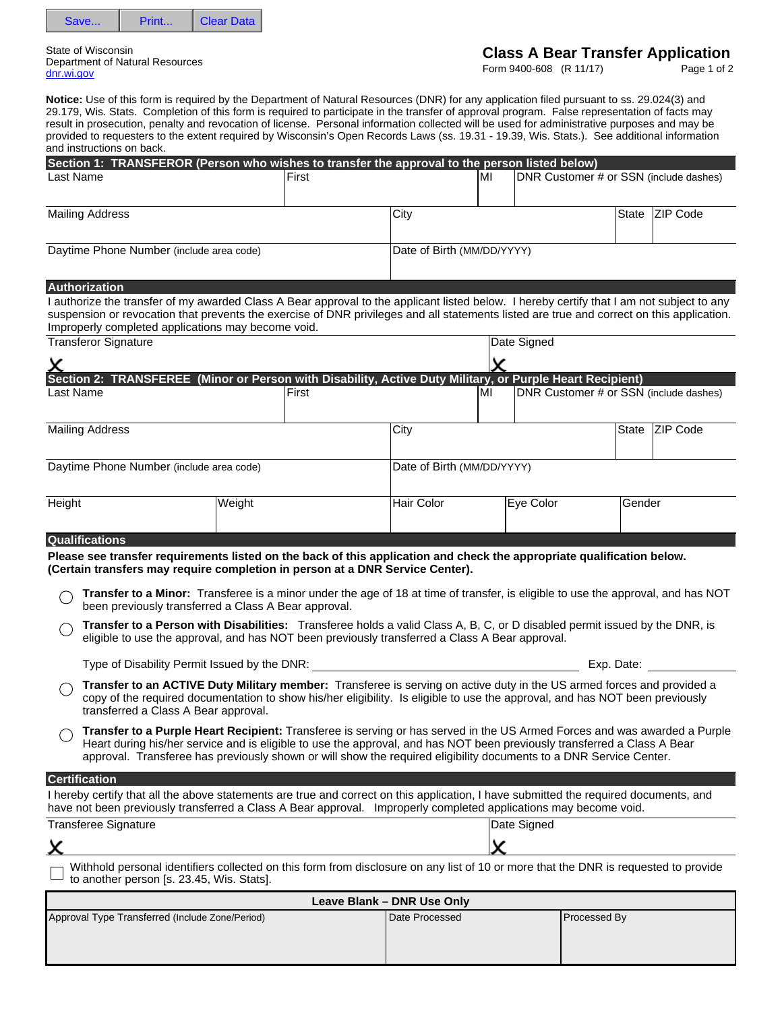|  | ear Data |
|--|----------|
|  |          |

State of Wisconsin Department of Natural Resources dnr.wi.gov

# **Class A Bear Transfer Application**

Form 9400-608 (R 11/17)

Page 1 of 2

|                                                                                                                                                                                                                                                                                                                                              |                                                                                                                                                                                                                                                                                                                                                                             | Section 1: TRANSFEROR (Person who wishes to transfer the approval to the person listed below) |                            |                                                   |                                        |                                    |                 |
|----------------------------------------------------------------------------------------------------------------------------------------------------------------------------------------------------------------------------------------------------------------------------------------------------------------------------------------------|-----------------------------------------------------------------------------------------------------------------------------------------------------------------------------------------------------------------------------------------------------------------------------------------------------------------------------------------------------------------------------|-----------------------------------------------------------------------------------------------|----------------------------|---------------------------------------------------|----------------------------------------|------------------------------------|-----------------|
| Last Name                                                                                                                                                                                                                                                                                                                                    |                                                                                                                                                                                                                                                                                                                                                                             | <b>IFirst</b>                                                                                 |                            | MI                                                | DNR Customer # or SSN (include dashes) |                                    |                 |
| <b>Mailing Address</b>                                                                                                                                                                                                                                                                                                                       |                                                                                                                                                                                                                                                                                                                                                                             |                                                                                               | City                       |                                                   |                                        | State                              | <b>ZIP Code</b> |
| Daytime Phone Number (include area code)                                                                                                                                                                                                                                                                                                     |                                                                                                                                                                                                                                                                                                                                                                             |                                                                                               | Date of Birth (MM/DD/YYYY) |                                                   |                                        |                                    |                 |
| Authorization                                                                                                                                                                                                                                                                                                                                |                                                                                                                                                                                                                                                                                                                                                                             |                                                                                               |                            |                                                   |                                        |                                    |                 |
| I authorize the transfer of my awarded Class A Bear approval to the applicant listed below. I hereby certify that I am not subject to any<br>suspension or revocation that prevents the exercise of DNR privileges and all statements listed are true and correct on this application.<br>Improperly completed applications may become void. |                                                                                                                                                                                                                                                                                                                                                                             |                                                                                               |                            |                                                   |                                        |                                    |                 |
| <b>Transferor Signature</b>                                                                                                                                                                                                                                                                                                                  |                                                                                                                                                                                                                                                                                                                                                                             |                                                                                               |                            |                                                   | Date Signed                            |                                    |                 |
|                                                                                                                                                                                                                                                                                                                                              |                                                                                                                                                                                                                                                                                                                                                                             |                                                                                               |                            |                                                   |                                        |                                    |                 |
| Section 2: TRANSFEREE (Minor or Person with Disability, Active Duty Military, or Purple Heart Recipient)                                                                                                                                                                                                                                     |                                                                                                                                                                                                                                                                                                                                                                             |                                                                                               |                            |                                                   |                                        |                                    |                 |
| Last Name                                                                                                                                                                                                                                                                                                                                    |                                                                                                                                                                                                                                                                                                                                                                             | <b>IFirst</b>                                                                                 |                            | lMI                                               | DNR Customer # or SSN (include dashes) |                                    |                 |
| <b>Mailing Address</b>                                                                                                                                                                                                                                                                                                                       |                                                                                                                                                                                                                                                                                                                                                                             |                                                                                               | City                       |                                                   |                                        | State                              | <b>ZIP Code</b> |
| Daytime Phone Number (include area code)                                                                                                                                                                                                                                                                                                     |                                                                                                                                                                                                                                                                                                                                                                             |                                                                                               | Date of Birth (MM/DD/YYYY) |                                                   |                                        |                                    |                 |
|                                                                                                                                                                                                                                                                                                                                              |                                                                                                                                                                                                                                                                                                                                                                             |                                                                                               |                            |                                                   |                                        |                                    |                 |
| D <sub>r</sub> D <sub>r</sub> Height                                                                                                                                                                                                                                                                                                         | Weight                                                                                                                                                                                                                                                                                                                                                                      |                                                                                               | <b>Hair Color</b>          | $\vert \textcolor{red}{\blacktriangledown} \vert$ | Eye Color                              | Gender<br>$\vert \textbf{v} \vert$ |                 |
| <b>Qualifications</b>                                                                                                                                                                                                                                                                                                                        |                                                                                                                                                                                                                                                                                                                                                                             |                                                                                               |                            |                                                   |                                        |                                    |                 |
| Please see transfer requirements listed on the back of this application and check the appropriate qualification below.<br>(Certain transfers may require completion in person at a DNR Service Center).                                                                                                                                      |                                                                                                                                                                                                                                                                                                                                                                             |                                                                                               |                            |                                                   |                                        |                                    |                 |
|                                                                                                                                                                                                                                                                                                                                              | Transfer to a Minor: Transferee is a minor under the age of 18 at time of transfer, is eligible to use the approval, and has NOT<br>been previously transferred a Class A Bear approval.                                                                                                                                                                                    |                                                                                               |                            |                                                   |                                        |                                    |                 |
|                                                                                                                                                                                                                                                                                                                                              | Transfer to a Person with Disabilities: Transferee holds a valid Class A, B, C, or D disabled permit issued by the DNR, is<br>eligible to use the approval, and has NOT been previously transferred a Class A Bear approval.                                                                                                                                                |                                                                                               |                            |                                                   |                                        |                                    |                 |
|                                                                                                                                                                                                                                                                                                                                              | Type of Disability Permit Issued by the DNR:                                                                                                                                                                                                                                                                                                                                |                                                                                               |                            |                                                   |                                        | Exp. Date:                         |                 |
|                                                                                                                                                                                                                                                                                                                                              |                                                                                                                                                                                                                                                                                                                                                                             |                                                                                               |                            |                                                   |                                        |                                    |                 |
|                                                                                                                                                                                                                                                                                                                                              | Transfer to an ACTIVE Duty Military member: Transferee is serving on active duty in the US armed forces and provided a<br>copy of the required documentation to show his/her eligibility. Is eligible to use the approval, and has NOT been previously<br>transferred a Class A Bear approval.                                                                              |                                                                                               |                            |                                                   |                                        |                                    |                 |
|                                                                                                                                                                                                                                                                                                                                              | Transfer to a Purple Heart Recipient: Transferee is serving or has served in the US Armed Forces and was awarded a Purple<br>Heart during his/her service and is eligible to use the approval, and has NOT been previously transferred a Class A Bear<br>approval. Transferee has previously shown or will show the required eligibility documents to a DNR Service Center. |                                                                                               |                            |                                                   |                                        |                                    |                 |
| <b>Certification</b>                                                                                                                                                                                                                                                                                                                         |                                                                                                                                                                                                                                                                                                                                                                             |                                                                                               |                            |                                                   |                                        |                                    |                 |
| I hereby certify that all the above statements are true and correct on this application, I have submitted the required documents, and<br>have not been previously transferred a Class A Bear approval. Improperly completed applications may become void.                                                                                    |                                                                                                                                                                                                                                                                                                                                                                             |                                                                                               |                            |                                                   |                                        |                                    |                 |
|                                                                                                                                                                                                                                                                                                                                              |                                                                                                                                                                                                                                                                                                                                                                             |                                                                                               |                            |                                                   | Date Signed                            |                                    |                 |
| x                                                                                                                                                                                                                                                                                                                                            |                                                                                                                                                                                                                                                                                                                                                                             |                                                                                               |                            |                                                   |                                        |                                    |                 |
| <b>Transferee Signature</b>                                                                                                                                                                                                                                                                                                                  | Withhold personal identifiers collected on this form from disclosure on any list of 10 or more that the DNR is requested to provide<br>to another person [s. 23.45, Wis. Stats].                                                                                                                                                                                            |                                                                                               |                            |                                                   |                                        |                                    |                 |
|                                                                                                                                                                                                                                                                                                                                              |                                                                                                                                                                                                                                                                                                                                                                             |                                                                                               | Leave Blank - DNR Use Only |                                                   |                                        |                                    |                 |

**Notice:** Use of this form is required by the Department of Natural Resources (DNR) for any application filed pursuant to ss. 29.024(3) and 29.179, Wis. Stats. Completion of this form is required to participate in the transfer of approval program. False representation of facts may